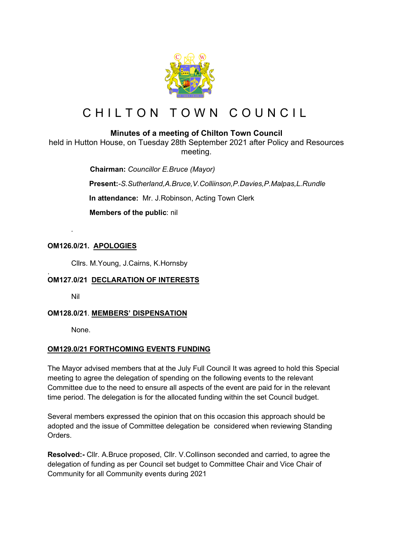

# CHILTON TOWN COUNCIL

## **Minutes of a meeting of Chilton Town Council**

held in Hutton House, on Tuesday 28th September 2021 after Policy and Resources meeting.

> **Chairman:** *Councillor E.Bruce (Mayor)* **Present:***-S.Sutherland,A.Bruce,V.Colliinson,P.Davies,P.Malpas,L.Rundle* **In attendance:** Mr. J.Robinson, Acting Town Clerk  **Members of the public**: nil

### **OM126.0/21. APOLOGIES**

Cllrs. M.Young, J.Cairns, K.Hornsby

#### . **OM127.0/21 DECLARATION OF INTERESTS**

Nil

*.*

#### **OM128.0/21**. **MEMBERS' DISPENSATION**

None.

#### **OM129.0/21 FORTHCOMING EVENTS FUNDING**

The Mayor advised members that at the July Full Council It was agreed to hold this Special meeting to agree the delegation of spending on the following events to the relevant Committee due to the need to ensure all aspects of the event are paid for in the relevant time period. The delegation is for the allocated funding within the set Council budget.

Several members expressed the opinion that on this occasion this approach should be adopted and the issue of Committee delegation be considered when reviewing Standing Orders.

**Resolved:-** Cllr. A.Bruce proposed, Cllr. V.Collinson seconded and carried, to agree the delegation of funding as per Council set budget to Committee Chair and Vice Chair of Community for all Community events during 2021